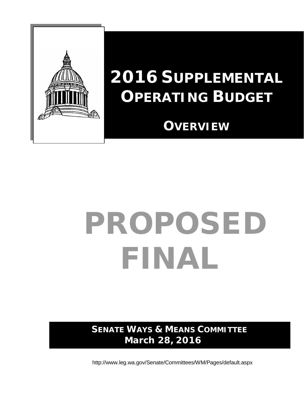

### **2016 SUPPLEMENTAL OPERATING BUDGET**

### **OVERVIEW**

# PROPOSED FINAL

**SENATE WAYS & MEANS COMMITTEE March 28, 2016**

<http://www.leg.wa.gov/Senate/Committees/WM/Pages/default.aspx>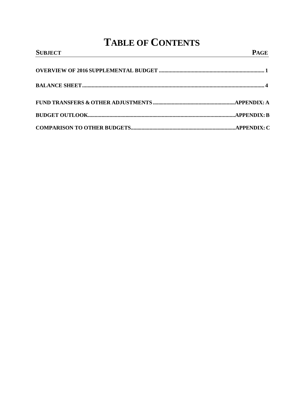### **TABLE OF CONTENTS**

| <b>SUBJECT</b> | <u> 1989 - Johann Barn, mars et al. (b. 1989)</u><br><b>PAGE</b> |
|----------------|------------------------------------------------------------------|
|                |                                                                  |
|                |                                                                  |
|                |                                                                  |
|                |                                                                  |
|                |                                                                  |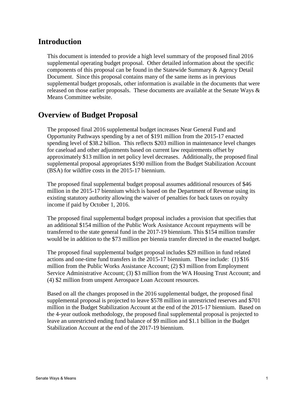#### **Introduction**

This document is intended to provide a high level summary of the proposed final 2016 supplemental operating budget proposal. Other detailed information about the specific components of this proposal can be found in the Statewide Summary & Agency Detail Document. Since this proposal contains many of the same items as in previous supplemental budget proposals, other information is available in the documents that were released on those earlier proposals. These documents are available at the Senate Ways & Means Committee website.

#### **Overview of Budget Proposal**

The proposed final 2016 supplemental budget increases Near General Fund and Opportunity Pathways spending by a net of \$191 million from the 2015-17 enacted spending level of \$38.2 billion. This reflects \$203 million in maintenance level changes for caseload and other adjustments based on current law requirements offset by approximately \$13 million in net policy level decreases. Additionally, the proposed final supplemental proposal appropriates \$190 million from the Budget Stabilization Account (BSA) for wildfire costs in the 2015-17 biennium.

The proposed final supplemental budget proposal assumes additional resources of \$46 million in the 2015-17 biennium which is based on the Department of Revenue using its existing statutory authority allowing the waiver of penalties for back taxes on royalty income if paid by October 1, 2016.

The proposed final supplemental budget proposal includes a provision that specifies that an additional \$154 million of the Public Work Assistance Account repayments will be transferred to the state general fund in the 2017-19 biennium. This \$154 million transfer would be in addition to the \$73 million per biennia transfer directed in the enacted budget.

The proposed final supplemental budget proposal includes \$29 million in fund related actions and one-time fund transfers in the 2015-17 biennium. These include: (1) \$16 million from the Public Works Assistance Account; (2) \$3 million from Employment Service Administrative Account; (3) \$3 million from the WA Housing Trust Account; and (4) \$2 million from unspent Aerospace Loan Account resources.

Based on all the changes proposed in the 2016 supplemental budget, the proposed final supplemental proposal is projected to leave \$578 million in unrestricted reserves and \$701 million in the Budget Stabilization Account at the end of the 2015-17 biennium. Based on the 4-year outlook methodology, the proposed final supplemental proposal is projected to leave an unrestricted ending fund balance of \$9 million and \$1.1 billion in the Budget Stabilization Account at the end of the 2017-19 biennium.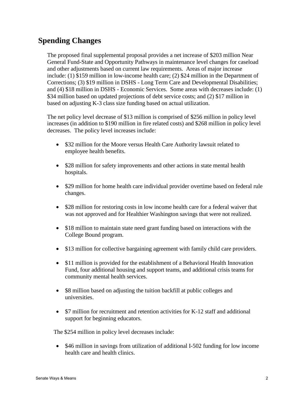#### **Spending Changes**

The proposed final supplemental proposal provides a net increase of \$203 million Near General Fund-State and Opportunity Pathways in maintenance level changes for caseload and other adjustments based on current law requirements. Areas of major increase include: (1) \$159 million in low-income health care; (2) \$24 million in the Department of Corrections; (3) \$19 million in DSHS - Long Term Care and Developmental Disabilities; and (4) \$18 million in DSHS - Economic Services. Some areas with decreases include: (1) \$34 million based on updated projections of debt service costs; and (2) \$17 million in based on adjusting K-3 class size funding based on actual utilization.

The net policy level decrease of \$13 million is comprised of \$256 million in policy level increases (in addition to \$190 million in fire related costs) and \$268 million in policy level decreases. The policy level increases include:

- \$32 million for the Moore versus Health Care Authority lawsuit related to employee health benefits.
- \$28 million for safety improvements and other actions in state mental health hospitals.
- \$29 million for home health care individual provider overtime based on federal rule changes.
- \$28 million for restoring costs in low income health care for a federal waiver that was not approved and for Healthier Washington savings that were not realized.
- \$18 million to maintain state need grant funding based on interactions with the College Bound program.
- \$13 million for collective bargaining agreement with family child care providers.
- \$11 million is provided for the establishment of a Behavioral Health Innovation Fund, four additional housing and support teams, and additional crisis teams for community mental health services.
- \$8 million based on adjusting the tuition backfill at public colleges and universities.
- \$7 million for recruitment and retention activities for K-12 staff and additional support for beginning educators.

The \$254 million in policy level decreases include:

• \$46 million in savings from utilization of additional I-502 funding for low income health care and health clinics.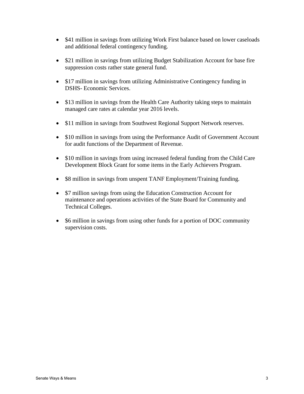- \$41 million in savings from utilizing Work First balance based on lower caseloads and additional federal contingency funding.
- \$21 million in savings from utilizing Budget Stabilization Account for base fire suppression costs rather state general fund.
- \$17 million in savings from utilizing Administrative Contingency funding in DSHS- Economic Services.
- \$13 million in savings from the Health Care Authority taking steps to maintain managed care rates at calendar year 2016 levels.
- \$11 million in savings from Southwest Regional Support Network reserves.
- \$10 million in savings from using the Performance Audit of Government Account for audit functions of the Department of Revenue.
- \$10 million in savings from using increased federal funding from the Child Care Development Block Grant for some items in the Early Achievers Program.
- \$8 million in savings from unspent TANF Employment/Training funding.
- \$7 million savings from using the Education Construction Account for maintenance and operations activities of the State Board for Community and Technical Colleges.
- \$6 million in savings from using other funds for a portion of DOC community supervision costs.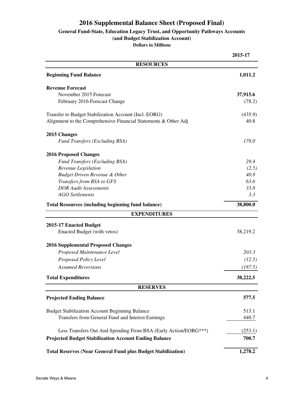#### **2016 Supplemental Balance Sheet (Proposed Final)**

#### **General Fund-State, Education Legacy Trust, and Opportunity Pathways Accounts**

**(and Budget Stabilization Account)**

**Dollars in Millions**

|                                                                     | 2015-17  |
|---------------------------------------------------------------------|----------|
| <b>RESOURCES</b>                                                    |          |
| <b>Beginning Fund Balance</b>                                       | 1,011.2  |
| <b>Revenue Forecast</b>                                             |          |
| November 2015 Forecast                                              | 37,915.6 |
| February 2016 Forecast Change                                       | (78.2)   |
| Transfer to Budget Stabilization Account (Incl. EORG)               | (435.9)  |
| Alignment to the Comprehensive Financial Statements & Other Adj     | 40.8     |
| 2015 Changes                                                        |          |
| <b>Fund Transfers (Excluding BSA)</b>                               | 178.0    |
| <b>2016 Proposed Changes</b>                                        |          |
| Fund Transfers (Excluding BSA)                                      | 29.4     |
| Revenue Legislation                                                 | (2.5)    |
| <b>Budget Driven Revenue &amp; Other</b>                            | 40.8     |
| Transfers from BSA to GFS                                           | 63.6     |
| <b>DOR Audit Assessments</b>                                        | 33.8     |
| <b>AGO</b> Settlements                                              | 3.3      |
| <b>Total Resources (including beginning fund balance)</b>           | 38,800.0 |
| <b>EXPENDITURES</b>                                                 |          |
| 2015-17 Enacted Budget                                              |          |
| Enacted Budget (with vetos)                                         | 38,219.2 |
| <b>2016 Supplemental Proposed Changes</b>                           |          |
| Proposed Maintenance Level                                          | 203.3    |
| Proposed Policy Level                                               | (12.5)   |
| <b>Assumed Reversions</b>                                           | (187.5)  |
| <b>Total Expenditures</b>                                           | 38,222.5 |
| <b>RESERVES</b>                                                     |          |
| <b>Projected Ending Balance</b>                                     | 577.5    |
| <b>Budget Stabilization Account Beginning Balance</b>               | 513.1    |
| Transfers from General Fund and Interest Earnings                   | 440.7    |
| Less Transfers Out And Spending From BSA (Early Action/EORG***)     | (253.1)  |
| <b>Projected Budget Stabilization Account Ending Balance</b>        | 700.7    |
| <b>Total Reserves (Near General Fund plus Budget Stabilization)</b> | 1,278.2  |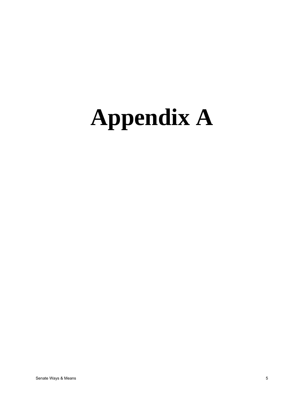## **Appendix A**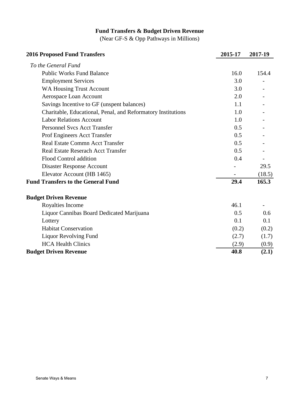#### **Fund Transfers & Budget Driven Revenue**

(Near GF-S & Opp Pathways in Millions)

| <b>2016 Proposed Fund Transfers</b>                          | 2015-17 | 2017-19 |
|--------------------------------------------------------------|---------|---------|
| To the General Fund                                          |         |         |
| <b>Public Works Fund Balance</b>                             | 16.0    | 154.4   |
| <b>Employment Services</b>                                   | 3.0     |         |
| <b>WA Housing Trust Account</b>                              | 3.0     |         |
| Aerospace Loan Account                                       | 2.0     |         |
| Savings Incentive to GF (unspent balances)                   | 1.1     |         |
| Charitable, Educational, Penal, and Reformatory Institutions | 1.0     |         |
| <b>Labor Relations Account</b>                               | 1.0     |         |
| <b>Personnel Svcs Acct Transfer</b>                          | 0.5     |         |
| Prof Engineers Acct Transfer                                 | 0.5     |         |
| Real Estate Commn Acct Transfer                              | 0.5     |         |
| <b>Real Estate Reserach Acct Transfer</b>                    | 0.5     |         |
| Flood Control addition                                       | 0.4     |         |
| <b>Disaster Response Account</b>                             |         | 29.5    |
| Elevator Account (HB 1465)                                   |         | (18.5)  |
| <b>Fund Transfers to the General Fund</b>                    | 29.4    | 165.3   |
| <b>Budget Driven Revenue</b>                                 |         |         |
| Royalties Income                                             | 46.1    |         |
| Liquor Cannibas Board Dedicated Marijuana                    | 0.5     | 0.6     |
| Lottery                                                      | 0.1     | 0.1     |
| <b>Habitat Conservation</b>                                  | (0.2)   | (0.2)   |
| <b>Liquor Revolving Fund</b>                                 | (2.7)   | (1.7)   |
| <b>HCA Health Clinics</b>                                    | (2.9)   | (0.9)   |
| <b>Budget Driven Revenue</b>                                 | 40.8    | (2.1)   |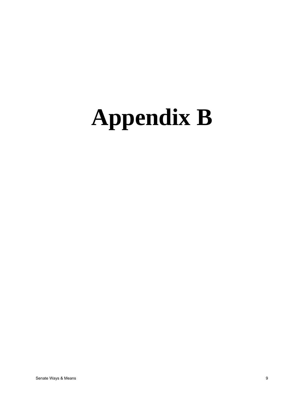## **Appendix B**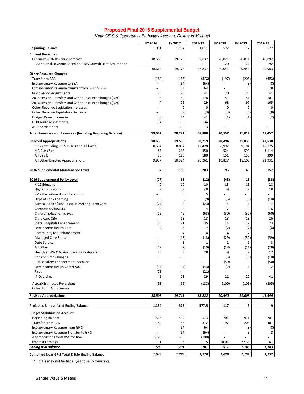#### **Proposed Final 2016 Supplemental Budget**

| (Near GF-S & Opportunity Pathways Account, Dollars in Millions) |  |  |  |
|-----------------------------------------------------------------|--|--|--|
|-----------------------------------------------------------------|--|--|--|

|                                                                   | FY 2016              | FY 2017        | 2015-17   | FY 2018        | FY 2019     | 2017-19        |
|-------------------------------------------------------------------|----------------------|----------------|-----------|----------------|-------------|----------------|
| <b>Beginning Balance</b>                                          | 1,011                | 1,134          | 1,011     | 577            | 117         | 577            |
| <b>Current Revenues</b>                                           |                      |                |           |                |             |                |
| February 2016 Revenue Forecast                                    | 18,660               | 19,178         | 37,837    | 20,021         | 20,871      | 40,892         |
| Additional Revenue Based on 4.5% Growth Rate Assumption           |                      |                |           | 20             | 72          | 92             |
|                                                                   | 18,660               | 19,178         | 37,837    | 20,041         | 20,943      | 40,983         |
| <b>Other Resource Changes</b>                                     |                      |                |           |                |             |                |
| Transfer to BSA                                                   | (184)                | (188)          | (372)     | (197)          | (205)       | (401)          |
| Extraordinary Revenue to BSA                                      | ä,                   | (64)           | (64)      | ä,             | (8)         | (8)            |
| Extraordinary Revenue transfer from BSA to GF-S                   |                      | 64             | 64        |                | 8           | 8              |
| Prior Period Adjustments                                          | 20                   | 20             | 41        | 20             | 20          | 41             |
| 2015 Session Transfers and Other Resource Changes (Net)           | 96<br>$\overline{4}$ | 82             | 178       | 51             | 51          | 101            |
| 2016 Session Transfers and Other Resource Changes (Net)           |                      | 25             | 29<br>0   | 68             | 97          | 165<br>0       |
| Other Revenue Legislation Increases                               |                      | $\pmb{0}$      |           | 0              | $\mathbf 0$ |                |
| Other Revenue Legislation Decrease                                |                      | (3)<br>44      | (3)<br>41 | (3)            | (5)         | (8)<br>(2)     |
| <b>Budget Driven Revenue</b><br><b>DOR Audit Assessments</b>      | (3)<br>34            |                | 34        | (1)            | (1)         |                |
| <b>AGO Settlements</b>                                            | 3                    |                | 3         |                |             |                |
| <b>Total Revenues and Resources (Including Beginning Balance)</b> | 19,642               | 20,292         | 38,800    | 20,557         | 21,017      | 41,457         |
|                                                                   |                      |                |           |                |             |                |
| <b>Enacted Appropriations</b>                                     | 18,639               | 19,580         | 38,219    | 20,494         | 21,036      | 41,530         |
| K-12 (excluding 2015 PL K-3 and All Day K)                        | 8,564                | 8,864          | 17,428    | 8,992          | 9,184       | 18,175         |
| K-3 Class Size                                                    | 83                   | 268            | 350       | 524            | 590         | 1,114          |
| All Day K                                                         | 55                   | 125            | 180       | 151            | 158         | 309            |
| All Other Enacted Appropriations                                  | 9,937                | 10,324         | 20,261    | 10,827         | 11,105      | 21,931         |
| 2016 Supplemental Maintenance Level                               | 37                   | 166            | 203       | 95             | 63          | 157            |
| 2016 Supplemental Policy Level                                    | (77)                 | 65             | (12)      | (48)           | 15          | (33)           |
| K-12 Education                                                    | (0)                  | 10             | 10        | 13             | 15          | 28             |
| <b>Higher Education</b>                                           | 9                    | 39             | 48        | 9              | 9           | 18             |
| K-12 Recruitment and Retention                                    |                      | 5              | 5         |                |             |                |
| Dept of Early Learning                                            | (6)                  | (3)            | (9)       | (5)            | (5)         | (10)           |
| Mental Health/Dev. Disabilities/Long Term Care                    | (27)                 | 4              | (23)      | 4              | 4           | 7              |
| Corrections/JRA/SCC                                               | $\overline{2}$       | $\overline{2}$ | 4         | $\overline{7}$ | 9           | 16             |
| Children's/Economic Svcs                                          | (16)                 | (46)           | (63)      | (30)           | (30)        | (60)           |
| Child Care CBA                                                    |                      | 13             | 13        | 13             | 13          | 26             |
| State Hospitals Enhancement                                       | 14                   | 21             | 35        | 11             | 12          | 23             |
| Low Income Health Care                                            | (2)                  | 3              | 2         | (2)            | (2)         | (4)            |
| Community MH Enhancement                                          |                      | 4              | 4         | 4              | 4           | $\overline{7}$ |
| <b>Managed Care Rates</b>                                         |                      | (13)           | (13)      | (29)           | (30)        | (59)           |
| Debt Service                                                      |                      | $\mathbf{1}$   | 1         | $\mathbf{1}$   | 1           | 3              |
| All Other                                                         | (17)                 | (2)            | (19)      | (18)           | (11)        | (28)           |
| Healthier WA & Waiver Savings Restoration                         | 20                   | 8              | 28        | 9              | 9           | 17             |
| Pension Rate Changes                                              |                      |                |           | (5)            | (6)         | (10)           |
| <b>Public Safety Enhancement Account</b>                          |                      |                |           | (50)           |             | (50)           |
| Low Income Health Care/I-502                                      | (38)                 | (5)            | (43)      | (2)            | 4           | $\overline{2}$ |
| Fires                                                             | (21)                 |                | (21)      |                |             |                |
| IP Overtime                                                       | 6                    | 23             | 29        | 21             | 20          | 41             |
| <b>Actual/Estimated Reversions</b>                                | (91)                 | (96)           | (188)     | (100)          | (105)       | (205)          |
| Other Fund Adjustments                                            |                      |                |           |                |             |                |
| <b>Revised Appropriations</b>                                     | 18,508               | 19,715         | 38,222    | 20,440         | 21,008      | 41,449         |
| <b>Projected Unrestricted Ending Balance</b>                      | 1,134                | 577            | 577.5     | 117            | 9           | 9              |
| <b>Budget Stabilization Account</b>                               |                      |                |           |                |             |                |
| <b>Beginning Balance</b>                                          | 513                  | 509            | 513       | 701            | 911         | 701            |
| <b>Transfer From GFS</b>                                          | 184                  | 188            | 372       | 197            | 205         | 401            |
| <b>Extraordinary Revenue from GF-S</b>                            | $\frac{1}{2}$        | 64             | 64        |                | (8)         | (8)            |
| Extraordinary Revenue Transfer to GF-S                            |                      | (64)           | (64)      |                | 8           | 8              |
| Appropriations from BSA for fires                                 | (190)                |                | (190)     |                |             |                |
| <b>Interest Earnings</b>                                          | 1                    | 3              | 5         | 14.01          | 27.33       | 41             |
| <b>Ending BSA Balance</b>                                         | 509                  | 701            | 701       | 911            | 1,143       | 1,143          |
| <b>Combined Near GF-S Total &amp; BSA Ending Balance</b>          | 1,643                | 1,278          | 1,278     | 1,028          | 1,152       | 1,152          |

\*\* Totals may not tie fiscal year due to rounding.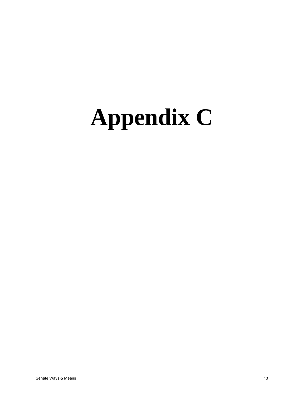## **Appendix C**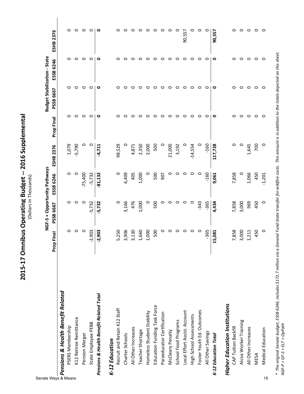2015-17 Omnibus Operating Budget -- 2016 Supplemental **2015-17 Omnibus Operating Budget -- 2016 Supplemental** (Dollars In Thousands) (Dollars In Thousands)

 $\circ$  $\circ$  $\circ$  $\circ$  $\circ$  $\circ$  $\circ$  $\circ$  $\circ$  $\circ$  $\circ$  $\circ$  $\circ$  $\circ$  $\circ$  $\circ$  $\circ$  $\circ$  $\circ$  $\circ$ 90,557  $\circ$ PSERS Membership 0 0 0 1,079 0 0 0 0 K12 Retiree Remittance 0 0 0 -5,790 0 0 0 0 Pension Merger 0 0 -75,400 0 0 0 0 0 State Employee PEBB -2,903 -5,732 -5,732 0 0 0 0 0 *Pensions & Health Benefit Related Total* **-2,903 -5,732 -81,132 -4,711 0 0 0 0** Recruit and Retain K12 Staff 5,250 0 0 98,529 0 0 0 0 Charter Schools 2,166 charter Schools 2,166 charter Charter Charter Charter Charter Charter Charter Charter Ch All Other Increases 3,130 476 405 4,871 0 0 0 0  $10$  o contrast cher Shortage 1,660  $\alpha$ ,500  $\alpha$ ,600  $\alpha$ ,600  $\alpha$ ,600  $\alpha$ ,600  $\alpha$ ,600  $\alpha$ O  $\begin{array}{ccc} 0 & 0 & 0 & 0 \ 0 & 0 & 0 & 0 \end{array}$  o  $\begin{array}{ccc} 0 & 0 & 0 \ 0 & 0 & 0 \end{array}$  o  $\begin{array}{ccc} 0 & 0 & 0 \ 0 & 0 & 0 \end{array}$ Education Funding Task Force 500 500 500 500 0 0 0 0 Paraeducator Certification 0 0 907 0 0 0 0 0 McCleary Penalty 0 0 0 21,000 0 0 0 0 School Food Programs 0 0 0 3,192 0 0 0 0 90.557 Local Effort Assist. Associated and  $\begin{matrix} 0 & 0 & 0 \ 0 & 0 & 0 \end{matrix}$ High School Assessments 0 0 0 -14,554 0 0 0 0 Outcomes of the computation of the computation of the computation of  $\alpha$  of  $\alpha$ All Other Savings -365 -365 -160 -160 0 0 0 0 *K-12 Education Total* **15,081 4,434 9,061 117,728 0 0 0 90,557** CAP Tuitive and  $\alpha$  o contribution backfill  $\alpha$  o contribution contribution of  $\alpha$ Alcoa Worker Training 3,000 3,000 0 0 0 0 0 0 All Other Increases 1,211 969 1,066 1,645 0 0 0 0 **ESHB 2376 Prop Final PSSB 6667 ESSB 6246 ESHB 2376 Prop Final PSSB 6667 ESSB 6246 ESHB 2376 Budget Stabilization - State NGF-S + Opportunity Pathways Budget Stabilization - State**  $\circ$  $\circ$  $\circ$  $\circ$  $\circ$  $\circ$ O  $\circ$  $\circ$  $\circ$  $\circ$  $\circ$  $\circ$  $\circ$  $\circ$  $\circ$  $\circ$  $\circ$  $\bullet$  $\circ$  $\circ$  $\circ$ ESSB 6246 PSSB 6667  $\circ$  $\circ$  $\circ$  $\circ$  $\circ$  $\circ$  $\circ$  $\circ$  $\circ$  $\circ$  $\circ$  $\circ$  $\circ$  $\circ$  $\circ$  $\mathbf{\Omega}$  $\circ$  $\circ$  $\circ$  $\circ$ O  $\bigcap$  $\circ$  $\circ$  $\circ$  $\circ$  $\circ$ O  $\circ$  $\circ$  $\Omega$  $\circ$  $\circ$  $\circ$  $\circ$  $\circ$  $\circ$  $\circ$  $\circ$  $\circ$  $\circ$  $\circ$  $\circ$  $\circ$ **Prop Final**  $-5,790$  $-4,711$ 98,529 2,350 500 21,000 3,192  $-160$ 1,645 ESHB 2376 1,079 0  $\circ$ 4,871 2,000  $\circ$  $\circ$  $-14,554$  $\circ$ 117,728  $\circ$  $\circ$ NGF-S + Opportunity Pathways  $-75,400$ 7,858  $-5,732$ 6,409 405 1,000 500 507  $-160$ 9,061 1,066 ESSB 6246  $\circ$  $\circ$  $-81,132$ O  $\circ$  $\circ$  $\circ$  $\circ$  $\circ$  $-343$  $\circ$  $-5,732$  $-5,732$ 3,166 1,000  $\circ$  $-365$ 7,858 3,000 969 PSSB 6667  $\circ$  $\circ$ c 476 500  $\circ$  $\circ$ 0 4,434 Prop Final  $-2,903$  $\circ$  $\circ$  $\circ$ 5,250 3,906 3,130 1,660 1,000 500  $\circ$  $\circ$  $\circ$  $\circ$  $\circ$  $\circ$ -365 15,081 7,858 3,000 1,211  $-2,903$  $\frac{8}{3}$ <br>  $\frac{8}{3}$  **Pensions & Health Benefit Related**<br>  $\frac{8}{3}$  **Pensions & Health Benefit Related**<br>
R12 Retire Remuttance<br>
R12 Refluction Merger<br>
Restin Merger<br>
Recruit and Retain K12 Staff<br> **R12 Education**<br>
Anartis *Pensions & Health Benefit Related* Pensions & Health Benefit Related Total **Higher Education Institutions** *Higher Education Institutions* Education Funding Task Force Recruit and Retain K12 Staff Local Effort Assist. Account Foster Youth Ed. Outcomes Homeless Student Stability Paraeducator Certification High School Assessments K12 Retiree Remittance School Food Programs Alcoa Worker Training State Employee PEBB All Other Increases All Other Increases CAP Tuition Backfill Teacher Shortage McCleary Penalty All Other Savings Charter Schools Pension Merger K-12 Education Total K-12 Education *K-12 Education*

\* The original Senate budget, ESSB 6246, includes \$172.7 million via a General Fund-State transfer for wildfire costs. This amount is in addition to the totals depicted on this sheet. *\* The original Senate budget, ESSB 6246, includes \$172.7 million via a General Fund-State transfer for wildfire costs. This amount is in addition to the totals depicted on this sheet.*  $NGF-P = GF-S + ELT + OpPath$ *NGF-P = GF-S + ELT + OpPath*

 $\begin{array}{ccccc} 0 & 0 & 0 & 0 \ 0 & 0 & 0 & 0 \end{array}$ Medical Education 0 0 -1,201 0 0 0 0 0

450  $\circ$ 

450  $\circ$ 

Medical Education

MESA

450

 $-1,201$ 

 $\circ$ 

 $\circ$  $\circ$ 

 $\circ$  $\circ$ 

 $\circ$  $\circ$ 

700  $\circ$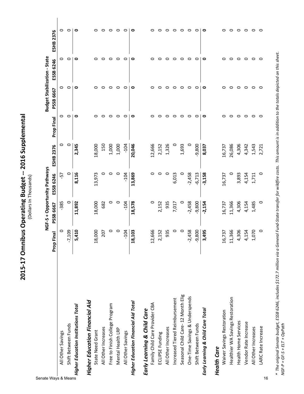2015-17 Omnibus Operating Budget -- 2016 Supplemental **2015-17 Omnibus Operating Budget -- 2016 Supplemental** (Dollars In Thousands)

| Senate Ways & Means                   |            | NGF-S + Opportunity Pathways |           |           |                   | Budget Stabilization - State |           |                  |
|---------------------------------------|------------|------------------------------|-----------|-----------|-------------------|------------------------------|-----------|------------------|
|                                       | Prop Final | PSSB 6667                    | ESSB 6246 | ESHB 2376 | <b>Prop Final</b> | PSSB 6667                    | ESSB 6246 | <b>ESHB 2376</b> |
| All Other Savings                     | 0          | $-385$                       | 57        | 0         | 0                 | 0                            | 0         | 0                |
| Shift Between Funds                   | $-7,109$   | 0                            | 0         | $\circ$   | $\circ$           | $\circ$                      | $\circ$   | $\circ$          |
| Higher Education Institutions Total   | 5,410      | 11,892                       | 8,116     | 2,345     | ۰                 | 0                            | ۰         | $\bullet$        |
| <b>Higher Education Financial Aid</b> |            |                              |           |           |                   |                              |           |                  |
| State Need Grant                      | 18,000     | 18,000                       | 13,973    | 18,000    | 0                 | 0                            | 0         | 0                |
| All Other Increases                   | 207        | 682                          | 0         | 150       | 0                 | 0                            | 0         | $\circ$          |
| Free to Finish College Program        | 0          | 0                            | 0         | 1,000     | 0                 | 0                            | $\circ$   | $\circ$          |
| Mental Health LRP                     | $\circ$    | $\circ$                      | $\circ$   | 1,000     | 0                 | 0                            | $\circ$   | $\circ$          |
| All Other Savings                     | $-104$     | $-104$                       | $-104$    | $-104$    | 0                 | 0                            | $\circ$   | $\circ$          |
| Higher Education Financial Aid Total  | 18,103     | 18,578                       | 13,869    | 20,046    | ۰                 | ۰                            | ۰         | $\bullet$        |
| Early Learning & Child Care           |            |                              |           |           |                   |                              |           |                  |
| Family Child Care Provider CBA        | 12,666     | 0                            | 0         | 12,666    | 0                 | 0                            | 0         | 0                |
| ECLIPSE Funding                       | 2,152      | 2,152                        | 0         | 2,152     | 0                 | 0                            | 0         | $\circ$          |
| All Other Increases                   | 935        | 935                          | $\circ$   | 1,326     | 0                 | 0                            | 0         | $\circ$          |
| Increased Tiered Reimbursement        | 0          | 7,017                        | 6,013     | 0         | 0                 | 0                            | 0         | $\circ$          |
| Seasonal Child Care-12 Month Elig     | $\circ$    | 0                            | 0         | 1,693     | 0                 | 0                            | $\circ$   | $\circ$          |
| One-Time Savings & Underspends        | $-2,458$   | $-2,458$                     | $-2,458$  | 0         | 0                 | 0                            | $\circ$   | $\circ$          |
| Shift Between Funds                   | $-9,800$   | $-9,800$                     | $-6,713$  | $-9,800$  | 0                 | 0                            | 0         | $\circ$          |
| Early Learning & Child Care Total     | 3,495      | $-2,154$                     | $-3,158$  | 8,037     | $\circ$           | $\circ$                      | $\circ$   | $\bullet$        |
| <b>Health Care</b>                    |            |                              |           |           |                   |                              |           |                  |
| Waiver Savings Restoration            | 16,737     | 16,737                       | 16,737    | 16,737    | 0                 | 0                            | 0         | 0                |
| Healthier WA Savings Restoration      | 11,366     | 11,366                       | 0         | 26,086    | 0                 | 0                            | 0         | $\circ$          |
| Health Home Services                  | 4,306      | 4,306                        | 3,893     | 4,306     | ○                 | $\circ$                      | $\circ$   | $\circ$          |
| Vendor Rate Increase                  | 4,154      | 4,154                        | 4,154     | 4,342     | 0                 | 0                            | $\circ$   | $\circ$          |
| All Other Increases                   | 1,070      | 1,485                        | 1,711     | 1,543     | $\circ$           | $\circ$                      | $\circ$   | $\circ$          |
| LARC Rate Increase<br>16              | $\circ$    | 0                            | 0         | 2,721     | $\circ$           | $\circ$                      | $\circ$   | $\circ$          |

\* The original Senate budget, ESSB 6246, includes \$172.7 million via a General Fund-State transfer for wildfire costs. This amount is in addition to the totals depicted on this sheet.<br>NGF-P = GF-S + ELT + OpPath *\* The original Senate budget, ESSB 6246, includes \$172.7 million via a General Fund-State transfer for wildfire costs. This amount is in addition to the totals depicted on this sheet. NGF-P = GF-S + ELT + OpPath*

 $\circ$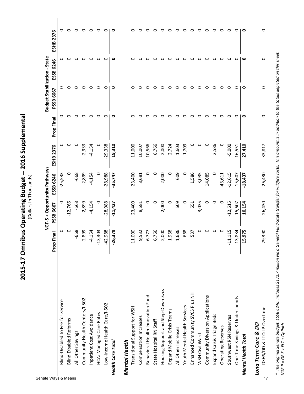2015-17 Omnibus Operating Budget -- 2016 Supplemental **2015-17 Omnibus Operating Budget -- 2016 Supplemental**

(Dollars In Thousands)

| Senate Ways & Means                |            | NGF-S + Opportunity Pathways |           |           |            | <b>Budget Stabilization - State</b> |           |                  |
|------------------------------------|------------|------------------------------|-----------|-----------|------------|-------------------------------------|-----------|------------------|
|                                    | Prop Final | PSSB 6667                    | ESSB 6246 | ESHB 2376 | Prop Final | PSSB 6667                           | ESSB 6246 | <b>ESHB 2376</b> |
| Blind-Disabled to Fee for Service  | 0          | 0                            | $-25,533$ | 0         | 0          | 0                                   | 0         | 0                |
| <b>Blind Disabled Reforms</b>      | 0          | $-12,766$                    | $\circ$   | 0         | 0          | 0                                   | 0         | 0                |
| All Other Savings                  | -668       | $-668$                       | -668      | 0         | 0          | $\circ$                             | O         | $\circ$          |
| Community Health Centers/I-502     | $-2,899$   | $-2,899$                     | $-2,899$  | $-2,933$  | 0          | 0                                   | ○         | ○                |
| Inpatient Cost Avoidance           | $-4,154$   | $-4,154$                     | $-4,154$  | $-4,154$  | 0          | 0                                   | 0         | 0                |
| HCA: Managed Care Rates            | $-13,303$  | 0                            | 0         | 0         | 0          | 0                                   | O         | $\circ$          |
| Low-Income Health Care/I-502       | $-42,988$  | $-28,988$                    | $-28,988$ | $-29,338$ | 0          | 0                                   | $\circ$   | $\circ$          |
| <b>Health Care Total</b>           | $-26,379$  | $-11,427$                    | $-35,747$ | 19,310    | 0          | 0                                   | $\circ$   | $\circ$          |
| <b>Mental Health</b>               |            |                              |           |           |            |                                     |           |                  |
| Transitional Support for WSH       | 11,000     | 23,400                       | 23,400    | 11,000    | 0          | 0                                   | 0         | 0                |
| Compensation Increases             | 9,532      | 8,681                        | 8,681     | 10,007    | 0          | 0                                   | 0         | o                |
| Behavioral Health Innovation Fund  | 6,777      | 0                            | 0         | 10,566    | 0          | 0                                   | 0         | o                |
| State Hospital RN Staff            | 6,766      | $\circ$                      | $\circ$   | 6,766     | 0          | 0                                   | 0         | 0                |
| Housing Support and Step-Down Svcs | 2,000      | 2,000                        | 2,000     | 2,000     | 0          | ○                                   | $\circ$   | 0                |
| Expand Mobile Crisis Teams         | 1,958      | 0                            | 0         | 2,724     | 0          | 0                                   | 0         | 0                |
| All Other Increases                | 1,686      | 609                          | 609       | 1,603     | 0          | 0                                   | O         | 0                |
| Youth Mental Health Services       | 668        | $\circ$                      | $\circ$   | 1,709     | 0          | 0                                   | $\circ$   | 0                |
| Enhanced Community SVCS Plus NH    | 537        | 651                          | 1,586     | 0         | 0          | 0                                   | 0         | 0                |
| WSH Civil Ward                     | 0          | 3,035                        | 3,035     | 0         | 0          | $\circ$                             | $\circ$   | 0                |
| Community Diversion Applications   | $\circ$    | 0                            | 14,085    | 0         | 0          | $\circ$                             | $\circ$   | 0                |
| Expand Crisis Triage Beds          | 0          | 0                            | 0         | 2,586     | 0          | 0                                   | 0         | 0                |
| Operating Reserves                 | 0          | $\circ$                      | $-43,611$ | 0         | 0          | $\circ$                             | $\circ$   | 0                |
| Southwest RSN Reserves             | $-11,115$  | $-12,615$                    | $-12,615$ | $-5,000$  | 0          | 0                                   | $\circ$   | ○                |
| One-Time Savings & Underspends     | $-13,834$  | $-15,607$                    | $-15,607$ | $-16,551$ | 0          | 0                                   | ○         | $\circ$          |
| Mental Health Total                | 15,975     | 10,154                       | $-18,437$ | 27,410    | 0          | 0                                   | ۰         | 0                |
| Long Term Care & DD                |            |                              |           |           |            |                                     |           |                  |
| DSHS/DD & LTC: IP Overtime<br>17   | 29,390     | 26,430                       | 26,430    | 33,817    | 0          | 0                                   | 0         | 0                |

\* The original Senate budget, ESSB 6246, includes \$172.7 million via a General Fund-State transfer for wildfire costs. This amount is in addition to the totals depicted on this sheet.<br>NGF-P = GF-S + ELT + OpPath *\* The original Senate budget, ESSB 6246, includes \$172.7 million via a General Fund-State transfer for wildfire costs. This amount is in addition to the totals depicted on this sheet. NGF-P = GF-S + ELT + OpPath*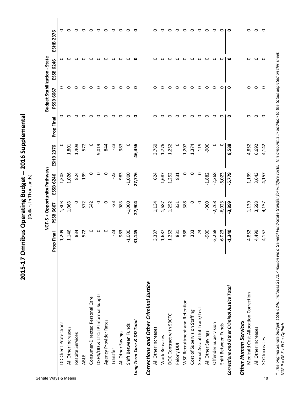2015-17 Omnibus Operating Budget -- 2016 Supplemental **2015-17 Omnibus Operating Budget -- 2016 Supplemental** (Dollars In Thousands)

|                                                                    |            | NGF-S + Opportunity Pathways |           |                  |            | Budget Stabilization - State |           |                  |
|--------------------------------------------------------------------|------------|------------------------------|-----------|------------------|------------|------------------------------|-----------|------------------|
|                                                                    | Prop Final | PSSB 6667                    | ESSB 6246 | <b>ESHB 2376</b> | Prop Final | PSSB 6667                    | ESSB 6246 | <b>ESHB 2376</b> |
| DD Client Protections                                              | 1,209      | 1,303                        | 1,303     |                  |            | 0                            |           | 0                |
| All Other Increases                                                | 1,146      | 1,063                        | 1,026     | 1,801            |            | c                            |           |                  |
| Respite Services                                                   | 834        | 0                            | 824       | 1,409            |            | c                            |           |                  |
| ABLE                                                               | 572        | 572                          | 199       | 572              |            | ○                            |           | 0                |
| Consumer-Directed Personal Care                                    | 0          | 542                          | o         |                  |            | 0                            | 0         | 0                |
| DSHS/DD & LTC: IP Informal Suppts                                  | 0          | 0                            |           | 9,019            |            | 0                            | 0         | 0                |
| Agency Provider Rates                                              | 0          | 0                            | o         | 844              | 0          | 0                            | 0         | o                |
| Transfer                                                           | -23        | -23                          | $-23$     | $-23$            | ○          | 0                            | 0         | 0                |
| All Other Savings                                                  | -983       | $-983$                       | -983      | -983             |            | 0                            | 0         | 0                |
| Shift Between Funds                                                | $-1,000$   | $-1,000$                     | $-1,000$  |                  |            | 0                            | 0         | 0                |
| Long Term Care & DD Total                                          | 31,145     | 27,904                       | 27,776    | 46,456           | 0          | 0                            | 0         | 0                |
| Corrections and Other Criminal Justice                             |            |                              |           |                  |            |                              |           |                  |
| All Other Increases                                                | 3,337      | 1,134                        | 624       | 3,760            |            | 0                            |           |                  |
| Work Releases                                                      | 1,687      | 1,687                        | 1,687     | 1,776            |            | ○                            |           |                  |
| DOC Contract with SBCTC                                            | 1,252      | 1,252                        | 1,252     | 1,252            |            | 0                            |           |                  |
| Felony DUI                                                         | 831        | 831                          | 831       |                  |            | 0                            | o         |                  |
| WSP Recruitment and Retention                                      | 388        | 388                          | $\circ$   | 1,207            |            | $\circ$                      | 0         | o                |
| Cost of Supervision Staffing                                       | 333        | 0                            | 0         | 1,374            |            | 0                            | 0         |                  |
| Sexual Assault Kit Track/Test                                      | 23         | $\circ$                      | $\circ$   | 119              | 0          | 0                            | 0         | 0                |
| All Other Savings                                                  | -900       | -900                         | $-1,882$  | <b>900</b>       | 0          | 0                            | 0         | 0                |
| Offender Supervision                                               | $-2,268$   | $-2,268$                     | $-2,268$  | 0                | 0          | 0                            | 0         | 0                |
| Shift Between Funds                                                | $-6,023$   | $-6,023$                     | $-6,023$  | $\circ$          |            | 0                            | 0         | っ                |
| Corrections and Other Criminal Justice Total                       | $-1,340$   | $-3,899$                     | -5,779    | 8,588            | 0          | 0                            | 0         | $\circ$          |
| Medicaid Cost Allocation Correction<br><b>Other Human Services</b> | 4,852      | 1,139                        | 1,139     | 4,852            | 0          | 0                            | 0         | 0                |

\* The original Senate budget, ESSB 6246, includes \$172.7 million via a General Fund-State transfer for wildfire costs. This amount is in addition to the totals depicted on this sheet.<br>NGF-P = GF-S + ELT + OpPath *\* The original Senate budget, ESSB 6246, includes \$172.7 million via a General Fund-State transfer for wildfire costs. This amount is in addition to the totals depicted on this sheet. NGF-P = GF-S + ELT + OpPath*

All Other Increases 4,499 3,693 3,643 6,692 0 0 0 0 SCC Increases 4,157 4,157 4,157 4,142 0 0 0 0

3,693 4,157

4,499 4,157

All Other Increases SCC Increases

3,643 4,157

6,692 4,142

 $\circ$   $\circ$ 

 $\circ$   $\circ$ 

 $\circ$   $\circ$ 

 $\circ$  $\circ$ 

Senate Ways & Means 18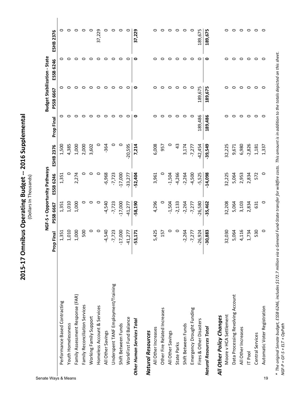2015-17 Omnibus Operating Budget -- 2016 Supplemental **2015-17 Omnibus Operating Budget -- 2016 Supplemental**

(Dollars In Thousands)

 $\overline{\phantom{a}}$ 

| Senate Ways & Means                 |            | NGF-S + Opportunity Pathways |           |           |            | <b>Budget Stabilization - State</b> |           |                  |
|-------------------------------------|------------|------------------------------|-----------|-----------|------------|-------------------------------------|-----------|------------------|
|                                     | Prop Final | PSSB 6667                    | ESSB 6246 | ESHB 2376 | Prop Final | PSSB 6667                           | ESSB 6246 | <b>ESHB 2376</b> |
| Performance Based Contracting       | 1,351      | 1,351                        | 1,351     | 1,500     |            | 0                                   | 0         | 0                |
| Youth Homelessness                  | 1,010      | 1,010                        | 0         | 4,385     | 0          | 0                                   | 0         | 0                |
| Family Assessment Response (FAR)    | 1,000      | 1,000                        | 2,274     | 1,000     | 0          | 0                                   | 0         | 0                |
| Family Reconciliation Services      | 500        | 0                            | 0         | 2,000     | 0          | 0                                   | 0         | 0                |
| Working Family Support              | $\circ$    | $\circ$                      | $\circ$   | 3,602     | 0          | 0                                   | 0         | 0                |
| Homeless Account & Services         | $\circ$    | $\circ$                      | $\circ$   | 0         | 0          | $\circ$                             | ○         | 37,229           |
| All Other Savings                   | $-4,540$   | $-4,540$                     | $-6,968$  | $-364$    | 0          | $\circ$                             | 0         | 0                |
| Underspent TANF Employment/Training | $-7,723$   | $-7,723$                     | $-7,723$  | 0         | 0          | $\circ$                             | 0         | O                |
| Shift Between Funds                 | $-17,000$  | $-17,000$                    | $-17,000$ | 0         | 0          | $\circ$                             | 0         | $\circ$          |
| WorkFirst Fund Balance              | $-41,277$  | $-41,277$                    | $-33,277$ | $-20,595$ | 0          | 0                                   | 0         | 0                |
| Other Human Services Total          | $-53,171$  | $-58,190$                    | $-52,404$ | 7,214     | 0          | 0                                   | 0         | 37,229           |
| <b>Natural Resources</b>            |            |                              |           |           |            |                                     |           |                  |
| All Other Increases                 | 5,425      | 4,296                        | 3,961     | 6,008     | 0          | 0                                   | 0         | 0                |
| Other Fire Related Increases        | 157        | 0                            | $\circ$   | 957       | 0          | 0                                   | 0         | 0                |
| All Other Savings                   | 0          | $-1,504$                     | $-1,504$  | 0         | 0          | 0                                   | 0         | 0                |
| State Parks                         | $\circ$    | $-2,133$                     | $-4,266$  | 43        | ○          | $\circ$                             | $\circ$   | 0                |
| Shift Between Funds                 | $-2,264$   | $-2,264$                     | $-2,264$  | 3,174     | $\circ$    | 0                                   | 0         | $\circ$          |
| Emergency Drought Funding           | $-7,277$   | $-7,277$                     | $-4,500$  | $-7,277$  | $\circ$    | $\circ$                             | 0         | $\circ$          |
| Fires & Other Disasters             | $-26,924$  | $-26,580$                    | $-5,525$  | $-42,454$ | 189,486    | 189,675                             | 0         | 189,675          |
| Natural Resources Total             | $-30,883$  | $-35,462$                    | $-14,098$ | $-39,549$ | 189,486    | 189,675                             | 0         | 189,675          |
| All Other Policy Changes            |            |                              |           |           |            |                                     |           |                  |
| Moore v HCA Settlement              | 32,030     | 32,208                       | 32,225    | 32,225    | 0          | 0                                   | 0         |                  |
| Data Processing Revolving Account   | 5,064      | 5,064                        | 5,064     | 9,671     | 0          | 0                                   | 0         | 0                |
| All Other Increases                 | 4,116      | 3,103                        | 2,953     | 6,980     | 0          | 0                                   | 0         | 0                |
| <b>IT</b> Pool                      | 1,734      | 2,834                        | 2,834     | $-2,826$  | 0          | $\circ$                             | 0         | 0                |
| Central Services                    | 530        | 631                          | 572       | 1,181     | 0          | $\circ$                             | 0         | 0                |
| Automatic Voter Registration<br>19  | $\circ$    | 0                            | $\circ$   | 1,337     | 0          | $\circ$                             | $\circ$   | c                |

\* The original Senate budget, ESSB 6246, includes \$172.7 million via a General Fund-State transfer for wildfire costs. This amount is in addition to the totals depicted on this sheet.<br>NGF-P = GF-S + ELT + OpPath *\* The original Senate budget, ESSB 6246, includes \$172.7 million via a General Fund-State transfer for wildfire costs. This amount is in addition to the totals depicted on this sheet. NGF-P = GF-S + ELT + OpPath*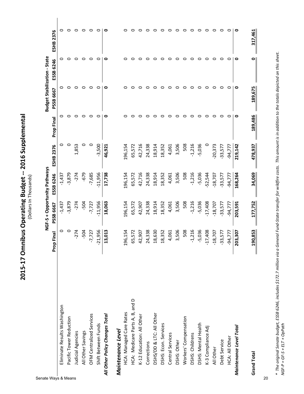2015-17 Omnibus Operating Budget -- 2016 Supplemental **2015-17 Omnibus Operating Budget -- 2016 Supplemental** (Dollars In Thousands) (Dollars In Thousands)

| Senate Ways & Means             |            | NGF-S + Opportunity Pathways |           |           |            | <b>Budget Stabilization - State</b> |           |                  |
|---------------------------------|------------|------------------------------|-----------|-----------|------------|-------------------------------------|-----------|------------------|
|                                 | Prop Final | PSSB 6667                    | ESSB 6246 | ESHB 2376 | Prop Final | PSSB 6667                           | ESSB 6246 | <b>ESHB 2376</b> |
| Eliminate Results Washington    | 0          | $-1,437$                     | $-1,437$  | 0         | 0          | 0                                   | 0         | 0                |
| Pacific Tower Reduction         | 0          | $-3,879$                     | $-3,879$  | $\circ$   | 0          | 0                                   | 0         | $\circ$          |
| Judicial Agencies               | $-274$     | $-274$                       | $-274$    | 1,853     | 0          | 0                                   | 0         | 0                |
| All Other Savings               | $-504$     | $-504$                       | -679      | $\circ$   | $\circ$    | $\circ$                             | $\circ$   | ○                |
| OFM Centralized Services        | $-7,727$   | $-7,727$                     | $-7,685$  | $\circ$   | 0          | 0                                   | 0         | $\circ$          |
| Shift Between Funds             | $-21,956$  | $-11,956$                    | $-11,956$ | $-3,500$  | O          | O                                   | $\circ$   | $\circ$          |
| All Other Policy Changes Total  | 13,013     | 18,063                       | 17,738    | 46,921    | ۰          | 0                                   | 0         | 0                |
| Maintenance Level               |            |                              |           |           |            |                                     |           |                  |
| <b>HCA: Managed Care Rates</b>  | 196,154    | 196,154                      | 196,154   | 196,154   | 0          | 0                                   | 0         | o                |
| HCA: Medicare Parts A, B, and D | 65,572     | 65,572                       | 65,572    | 65,572    | 0          | 0                                   | 0         |                  |
| K-12 Education: All Other       | 42,907     | 42,907                       | 42,716    | 42,716    | 0          | 0                                   | 0         | c                |
| Corrections                     | 24,338     | 24,338                       | 24,338    | 24,338    | 0          | 0                                   | 0         | c                |
| DSHS/DD & LTC: All Other        | 18,630     | 18,914                       | 18,914    | 18,914    | ○          | 0                                   | 0         |                  |
| DSHS: Econ. Services            | 18,352     | 18,352                       | 18,352    | 18,352    | 0          | 0                                   | 0         | っ                |
| Central Services                | 4,061      | 4,061                        | 4,061     | 4,061     | 0          | c                                   | O         | 0                |
| DSHS: Other                     | 3,506      | 3,506                        | 3,506     | 3,506     | 0          | 0                                   | 0         | 0                |
| Workers' Compensation           | 508        | 508                          | 508       | 508       | $\circ$    | c                                   | 0         | 0                |
| DSHS: Childrens                 | $-1,216$   | $-1,216$                     | $-1,216$  | $-1,216$  | $\circ$    | 0                                   | 0         | 0                |
| DSHS: Mental Health             | $-5,036$   | $-5,036$                     | $-5,036$  | $-5,036$  | 0          | 0                                   | 0         | 0                |
| K-3 Compliance Adj              | $-17,408$  | $-17,408$                    | $-52,544$ | 0         | 0          | 0                                   | 0         | 0                |
| All Other                       | $-18,707$  | $-18,707$                    | $-18,707$ | $-20,373$ | 0          | 0                                   | 0         | 0                |
| Debt Service                    | $-33,577$  | 33,577                       | $-33,577$ | $-33,577$ | $\circ$    | 0                                   | 0         | 0                |
| HCA: All Other                  | $-94,777$  | $-94,777$                    | $-94,777$ | $-94,777$ | 0          | 0                                   | 0         | $\circ$          |
| Maintenance Level Total         | 203,307    | 203,591                      | 168,264   | 219,142   | ۰          | 0                                   | ۰         | 0                |
| <b>Grand Total</b>              | 190,853    | 177,752                      | 34,069    | 478,937   | 189,486    | 189,675                             | 0         | 317,461          |
| 20                              |            |                              |           |           |            |                                     |           |                  |

\* The original Senate budget, ESSB 6246, includes \$172.7 million via a General Fund-State transfer for wildfire costs. This amount is in addition to the totals depicted on this sheet.<br>NGF-P = GF-S + ELT + OpPath *\* The original Senate budget, ESSB 6246, includes \$172.7 million via a General Fund-State transfer for wildfire costs. This amount is in addition to the totals depicted on this sheet. NGF-P = GF-S + ELT + OpPath*